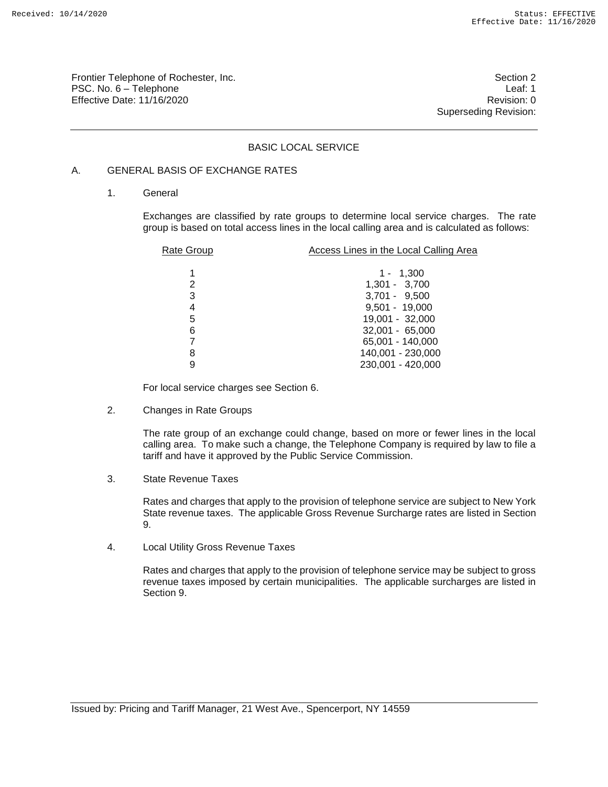Frontier Telephone of Rochester, Inc. Section 2 PSC. No. 6 – Telephone Leaf: 1 Effective Date: 11/16/2020 **Review Account 2018** Revision: 0

Superseding Revision:

# BASIC LOCAL SERVICE

# A. GENERAL BASIS OF EXCHANGE RATES

1. General

Exchanges are classified by rate groups to determine local service charges. The rate group is based on total access lines in the local calling area and is calculated as follows:

| Rate Group | Access Lines in the Local Calling Area |
|------------|----------------------------------------|
|            |                                        |
| 1          | $1 - 1,300$                            |
| 2          | $1,301 - 3,700$                        |
| 3          | $3,701 - 9,500$                        |
| 4          | $9,501 - 19,000$                       |
| 5          | 19,001 - 32,000                        |
| 6          | $32,001 - 65,000$                      |
| 7          | 65,001 - 140,000                       |
| 8          | 140,001 - 230,000                      |
| 9          | 230,001 - 420,000                      |
|            |                                        |

For local service charges see Section 6.

2. Changes in Rate Groups

The rate group of an exchange could change, based on more or fewer lines in the local calling area. To make such a change, the Telephone Company is required by law to file a tariff and have it approved by the Public Service Commission.

3. State Revenue Taxes

Rates and charges that apply to the provision of telephone service are subject to New York State revenue taxes. The applicable Gross Revenue Surcharge rates are listed in Section 9.

4. Local Utility Gross Revenue Taxes

Rates and charges that apply to the provision of telephone service may be subject to gross revenue taxes imposed by certain municipalities. The applicable surcharges are listed in Section 9.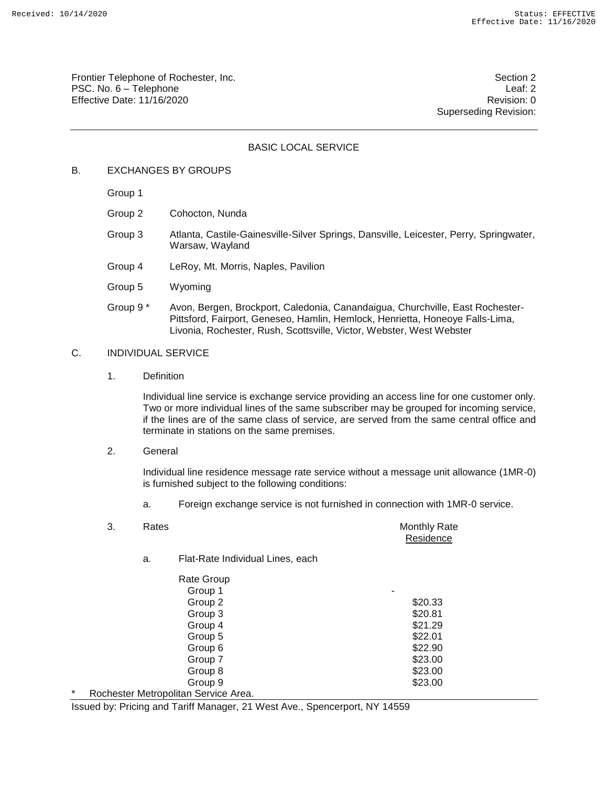Frontier Telephone of Rochester, Inc. Section 2 PSC. No. 6 – Telephone Leaf: 2 Effective Date: 11/16/2020 **Review Account 2018** Revision: 0

Superseding Revision:

## BASIC LOCAL SERVICE

## B. EXCHANGES BY GROUPS

Group 1

- Group 2 Cohocton, Nunda
- Group 3 Atlanta, Castile-Gainesville-Silver Springs, Dansville, Leicester, Perry, Springwater, Warsaw, Wayland
- Group 4 LeRoy, Mt. Morris, Naples, Pavilion
- Group 5 Wyoming
- Group 9 \* Avon, Bergen, Brockport, Caledonia, Canandaigua, Churchville, East Rochester-Pittsford, Fairport, Geneseo, Hamlin, Hemlock, Henrietta, Honeoye Falls-Lima, Livonia, Rochester, Rush, Scottsville, Victor, Webster, West Webster

# C. INDIVIDUAL SERVICE

1. Definition

Individual line service is exchange service providing an access line for one customer only. Two or more individual lines of the same subscriber may be grouped for incoming service, if the lines are of the same class of service, are served from the same central office and terminate in stations on the same premises.

2. General

Individual line residence message rate service without a message unit allowance (1MR-0) is furnished subject to the following conditions:

a. Foreign exchange service is not furnished in connection with 1MR-0 service.

|   | 3. | Rates |                                      | Monthly Rate<br>Residence |
|---|----|-------|--------------------------------------|---------------------------|
|   |    | a.    | Flat-Rate Individual Lines, each     |                           |
|   |    |       | <b>Rate Group</b>                    |                           |
|   |    |       | Group 1                              | ۰                         |
|   |    |       | Group 2                              | \$20.33                   |
|   |    |       | Group 3                              | \$20.81                   |
|   |    |       | Group 4                              | \$21.29                   |
|   |    |       | Group 5                              | \$22.01                   |
|   |    |       | Group 6                              | \$22.90                   |
|   |    |       | Group 7                              | \$23.00                   |
|   |    |       | Group 8                              | \$23.00                   |
|   |    |       | Group 9                              | \$23.00                   |
| * |    |       | Rochester Metropolitan Service Area. |                           |

Issued by: Pricing and Tariff Manager, 21 West Ave., Spencerport, NY 14559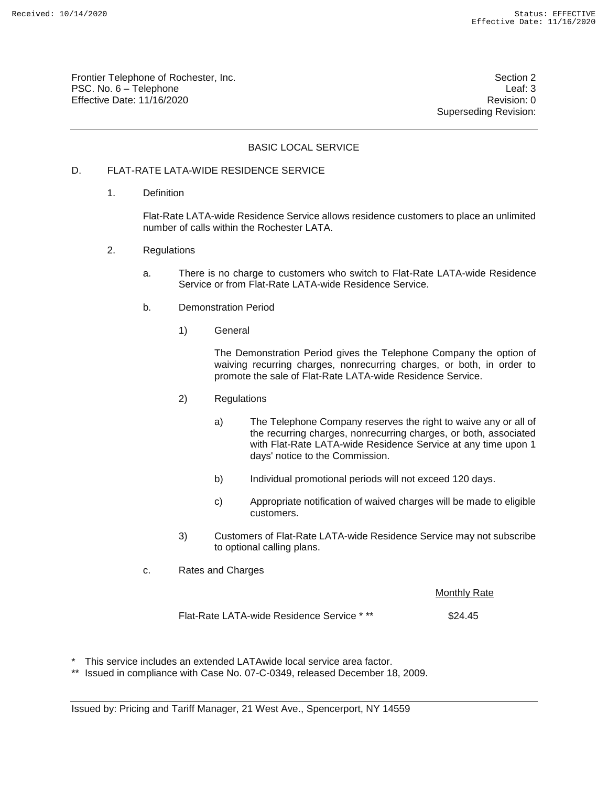Frontier Telephone of Rochester, Inc. Section 2 PSC. No. 6 – Telephone Leaf: 3 Effective Date: 11/16/2020 **Review Account 2018** Revision: 0

Superseding Revision:

# BASIC LOCAL SERVICE

# D. FLAT-RATE LATA-WIDE RESIDENCE SERVICE

1. Definition

Flat-Rate LATA-wide Residence Service allows residence customers to place an unlimited number of calls within the Rochester LATA.

- 2. Regulations
	- a. There is no charge to customers who switch to Flat-Rate LATA-wide Residence Service or from Flat-Rate LATA-wide Residence Service.
	- b. Demonstration Period
		- 1) General

The Demonstration Period gives the Telephone Company the option of waiving recurring charges, nonrecurring charges, or both, in order to promote the sale of Flat-Rate LATA-wide Residence Service.

- 2) Regulations
	- a) The Telephone Company reserves the right to waive any or all of the recurring charges, nonrecurring charges, or both, associated with Flat-Rate LATA-wide Residence Service at any time upon 1 days' notice to the Commission.
	- b) Individual promotional periods will not exceed 120 days.
	- c) Appropriate notification of waived charges will be made to eligible customers.
- 3) Customers of Flat-Rate LATA-wide Residence Service may not subscribe to optional calling plans.
- c. Rates and Charges

Monthly Rate

Flat-Rate LATA-wide Residence Service \*\*\* \$24.45

- This service includes an extended LATAwide local service area factor.
- \*\* Issued in compliance with Case No. 07-C-0349, released December 18, 2009.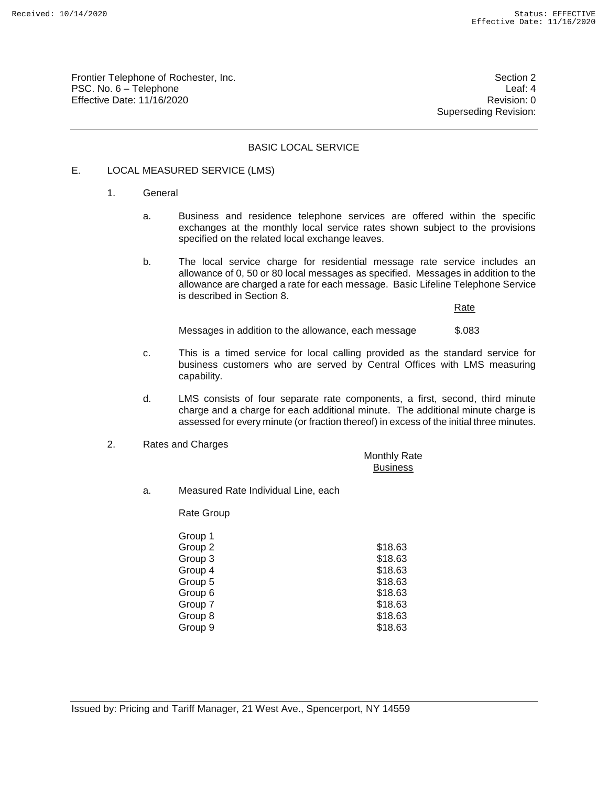Frontier Telephone of Rochester, Inc. Section 2 PSC. No. 6 – Telephone Leaf: 4 Effective Date: 11/16/2020 **Review Accounts** Effective Date: 0

Superseding Revision:

## BASIC LOCAL SERVICE

# E. LOCAL MEASURED SERVICE (LMS)

- 1. General
	- a. Business and residence telephone services are offered within the specific exchanges at the monthly local service rates shown subject to the provisions specified on the related local exchange leaves.
	- b. The local service charge for residential message rate service includes an allowance of 0, 50 or 80 local messages as specified. Messages in addition to the allowance are charged a rate for each message. Basic Lifeline Telephone Service is described in Section 8.

Rate

Messages in addition to the allowance, each message \$.083

- c. This is a timed service for local calling provided as the standard service for business customers who are served by Central Offices with LMS measuring capability.
- d. LMS consists of four separate rate components, a first, second, third minute charge and a charge for each additional minute. The additional minute charge is assessed for every minute (or fraction thereof) in excess of the initial three minutes.
- 2. Rates and Charges

Monthly Rate **Business** 

a. Measured Rate Individual Line, each

Rate Group

| Group 1 |         |
|---------|---------|
| Group 2 | \$18.63 |
| Group 3 | \$18.63 |
| Group 4 | \$18.63 |
| Group 5 | \$18.63 |
| Group 6 | \$18.63 |
| Group 7 | \$18.63 |
| Group 8 | \$18.63 |
| Group 9 | \$18.63 |
|         |         |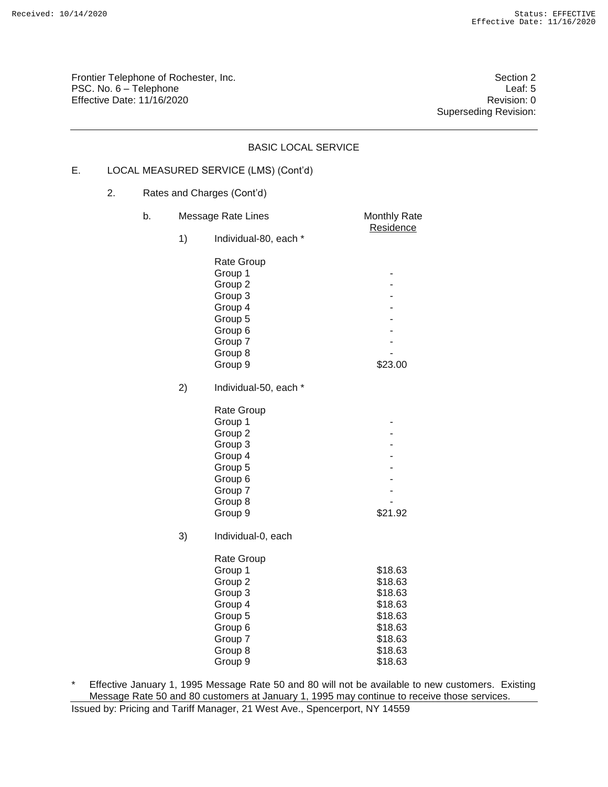Frontier Telephone of Rochester, Inc. Section 2 PSC. No. 6 – Telephone Leaf: 5<br>Effective Date: 11/16/2020 Effective Date:  $11/16/2020$ 

Superseding Revision:

|    |    |    |    | <b>BASIC LOCAL SERVICE</b>                                                                                                          |                                                                                                 |
|----|----|----|----|-------------------------------------------------------------------------------------------------------------------------------------|-------------------------------------------------------------------------------------------------|
| Е. |    |    |    | LOCAL MEASURED SERVICE (LMS) (Cont'd)                                                                                               |                                                                                                 |
|    | 2. |    |    | Rates and Charges (Cont'd)                                                                                                          |                                                                                                 |
|    |    | b. |    | Message Rate Lines                                                                                                                  | Monthly Rate                                                                                    |
|    |    |    | 1) | Individual-80, each *                                                                                                               | Residence                                                                                       |
|    |    |    |    | Rate Group<br>Group 1<br>Group 2<br>Group 3<br>Group 4<br>Group 5<br>Group 6                                                        |                                                                                                 |
|    |    |    |    | Group 7<br>Group 8                                                                                                                  |                                                                                                 |
|    |    |    |    | Group 9                                                                                                                             | \$23.00                                                                                         |
|    |    |    | 2) | Individual-50, each *                                                                                                               |                                                                                                 |
|    |    |    |    | Rate Group<br>Group 1<br>Group 2<br>Group 3<br>Group 4<br>Group 5<br>Group 6<br>Group 7<br>Group 8<br>Group 9                       | \$21.92                                                                                         |
|    |    |    | 3) | Individual-0, each<br>Rate Group<br>Group 1<br>Group 2<br>Group 3<br>Group 4<br>Group 5<br>Group 6<br>Group 7<br>Group 8<br>Group 9 | \$18.63<br>\$18.63<br>\$18.63<br>\$18.63<br>\$18.63<br>\$18.63<br>\$18.63<br>\$18.63<br>\$18.63 |

\* Effective January 1, 1995 Message Rate 50 and 80 will not be available to new customers. Existing Message Rate 50 and 80 customers at January 1, 1995 may continue to receive those services.

Issued by: Pricing and Tariff Manager, 21 West Ave., Spencerport, NY 14559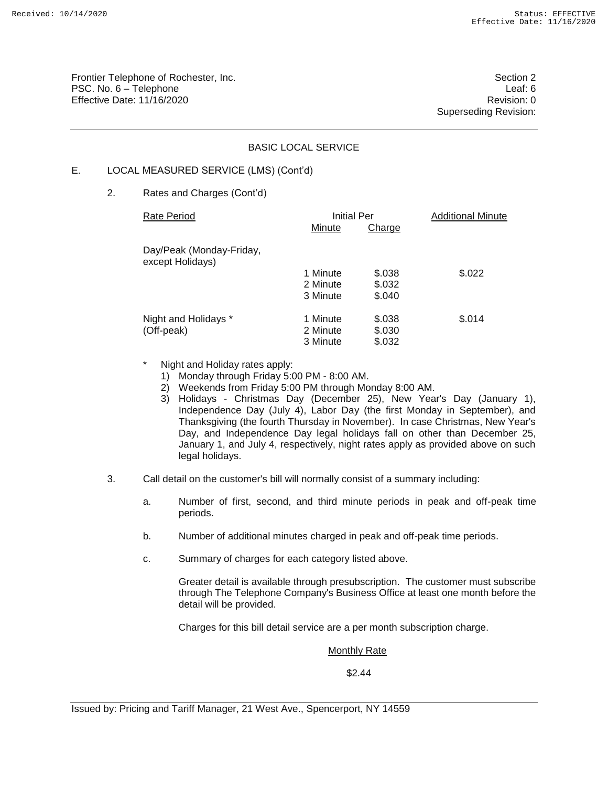Frontier Telephone of Rochester, Inc. Section 2 PSC. No. 6 – Telephone Leaf: 6 Effective Date: 11/16/2020 **Review Accounts** Effective Date: 0

Superseding Revision:

# BASIC LOCAL SERVICE

# E. LOCAL MEASURED SERVICE (LMS) (Cont'd)

2. Rates and Charges (Cont'd)

| Rate Period                                  | Initial Per |        | <b>Additional Minute</b> |  |
|----------------------------------------------|-------------|--------|--------------------------|--|
|                                              | Minute      | Charge |                          |  |
| Day/Peak (Monday-Friday,<br>except Holidays) |             |        |                          |  |
|                                              | 1 Minute    | \$.038 | \$.022                   |  |
|                                              | 2 Minute    | \$.032 |                          |  |
|                                              | 3 Minute    | \$.040 |                          |  |
| Night and Holidays *                         | 1 Minute    | \$.038 | \$.014                   |  |
| (Off-peak)                                   | 2 Minute    | \$.030 |                          |  |
|                                              | 3 Minute    | \$.032 |                          |  |

- Night and Holiday rates apply:
	- 1) Monday through Friday 5:00 PM 8:00 AM.
	- 2) Weekends from Friday 5:00 PM through Monday 8:00 AM.
	- 3) Holidays Christmas Day (December 25), New Year's Day (January 1), Independence Day (July 4), Labor Day (the first Monday in September), and Thanksgiving (the fourth Thursday in November). In case Christmas, New Year's Day, and Independence Day legal holidays fall on other than December 25, January 1, and July 4, respectively, night rates apply as provided above on such legal holidays.
- 3. Call detail on the customer's bill will normally consist of a summary including:
	- a. Number of first, second, and third minute periods in peak and off-peak time periods.
	- b. Number of additional minutes charged in peak and off-peak time periods.
	- c. Summary of charges for each category listed above.

Greater detail is available through presubscription. The customer must subscribe through The Telephone Company's Business Office at least one month before the detail will be provided.

Charges for this bill detail service are a per month subscription charge.

#### **Monthly Rate**

\$2.44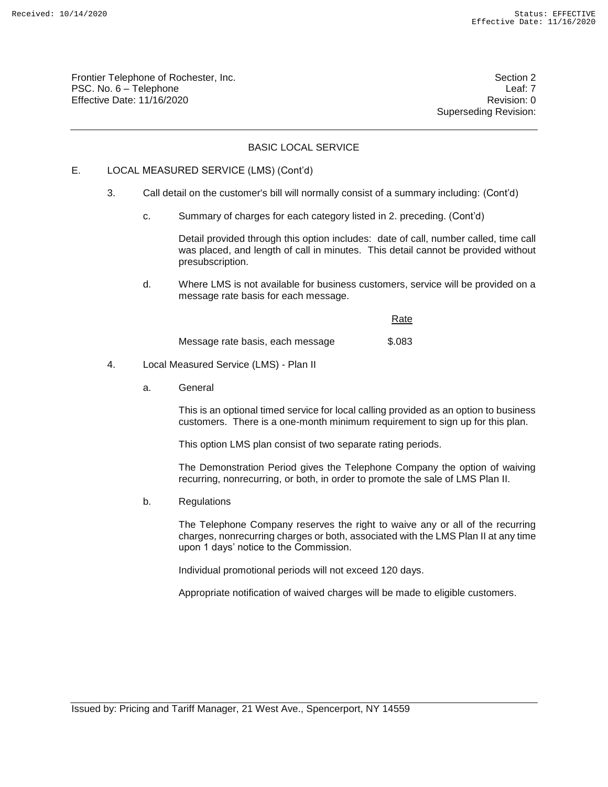Frontier Telephone of Rochester, Inc. Section 2 PSC. No. 6 – Telephone Leaf: 7 Effective Date: 11/16/2020 **Review Accounts** Effective Date: 0

Superseding Revision:

# BASIC LOCAL SERVICE

# E. LOCAL MEASURED SERVICE (LMS) (Cont'd)

- 3. Call detail on the customer's bill will normally consist of a summary including: (Cont'd)
	- c. Summary of charges for each category listed in 2. preceding. (Cont'd)

Detail provided through this option includes: date of call, number called, time call was placed, and length of call in minutes. This detail cannot be provided without presubscription.

d. Where LMS is not available for business customers, service will be provided on a message rate basis for each message.

|                                  | Rate   |
|----------------------------------|--------|
| Message rate basis, each message | \$.083 |

- 4. Local Measured Service (LMS) Plan II
	- a. General

This is an optional timed service for local calling provided as an option to business customers. There is a one-month minimum requirement to sign up for this plan.

This option LMS plan consist of two separate rating periods.

The Demonstration Period gives the Telephone Company the option of waiving recurring, nonrecurring, or both, in order to promote the sale of LMS Plan II.

b. Regulations

The Telephone Company reserves the right to waive any or all of the recurring charges, nonrecurring charges or both, associated with the LMS Plan II at any time upon 1 days' notice to the Commission.

Individual promotional periods will not exceed 120 days.

Appropriate notification of waived charges will be made to eligible customers.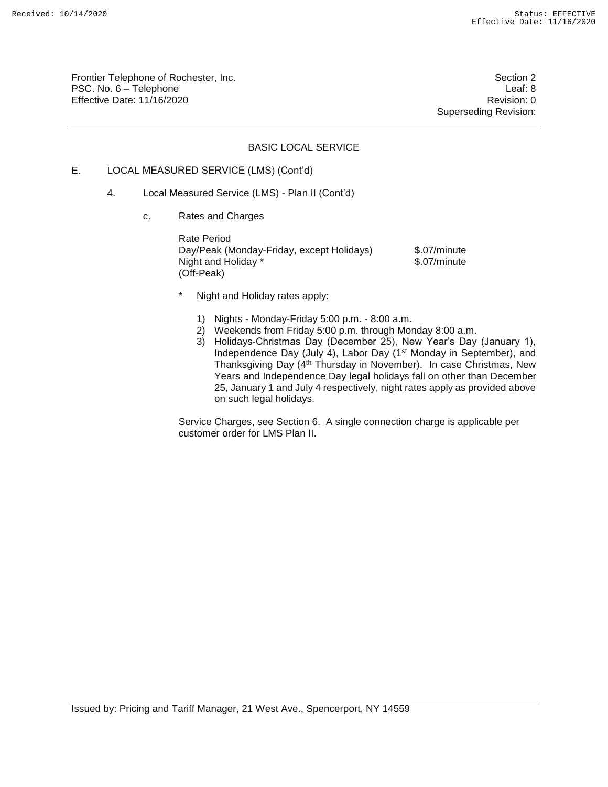Frontier Telephone of Rochester, Inc. Section 2 PSC. No. 6 – Telephone Leaf: 8 Effective Date: 11/16/2020 **Review Account 2018** Revision: 0

Superseding Revision:

# BASIC LOCAL SERVICE

# E. LOCAL MEASURED SERVICE (LMS) (Cont'd)

- 4. Local Measured Service (LMS) Plan II (Cont'd)
	- c. Rates and Charges

Rate Period Day/Peak (Monday-Friday, except Holidays) \$.07/minute<br>Night and Holiday \* \$.07/minute Night and Holiday<sup>\*</sup> (Off-Peak)

- Night and Holiday rates apply:
	- 1) Nights Monday-Friday 5:00 p.m. 8:00 a.m.
	- 2) Weekends from Friday 5:00 p.m. through Monday 8:00 a.m.
	- 3) Holidays-Christmas Day (December 25), New Year's Day (January 1), Independence Day (July 4), Labor Day (1st Monday in September), and Thanksgiving Day (4th Thursday in November). In case Christmas, New Years and Independence Day legal holidays fall on other than December 25, January 1 and July 4 respectively, night rates apply as provided above on such legal holidays.

Service Charges, see Section 6. A single connection charge is applicable per customer order for LMS Plan II.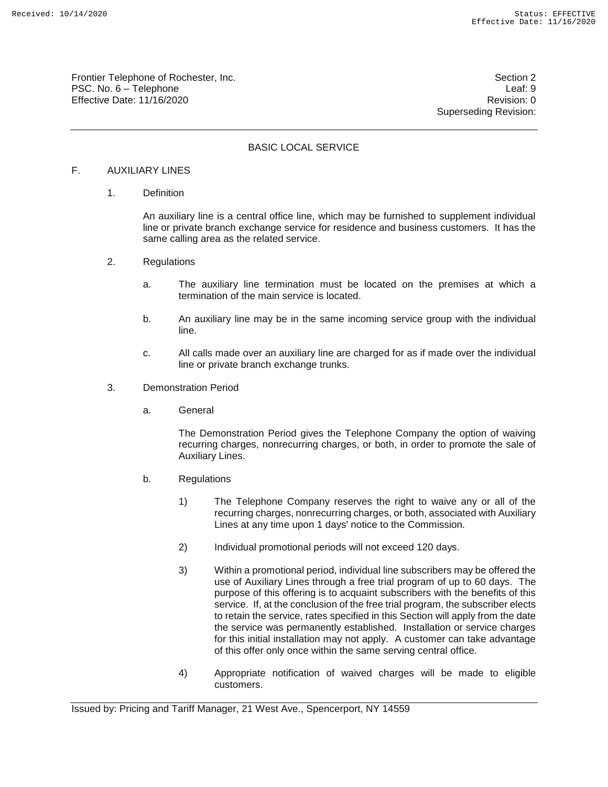Frontier Telephone of Rochester, Inc. Section 2 PSC. No. 6 – Telephone Leaf: 9 Effective Date: 11/16/2020 **Review Accounts** Effective Date: 0

Superseding Revision:

# BASIC LOCAL SERVICE

# F. AUXILIARY LINES

1. Definition

An auxiliary line is a central office line, which may be furnished to supplement individual line or private branch exchange service for residence and business customers. It has the same calling area as the related service.

- 2. Regulations
	- a. The auxiliary line termination must be located on the premises at which a termination of the main service is located.
	- b. An auxiliary line may be in the same incoming service group with the individual line.
	- c. All calls made over an auxiliary line are charged for as if made over the individual line or private branch exchange trunks.
- 3. Demonstration Period
	- a. General

The Demonstration Period gives the Telephone Company the option of waiving recurring charges, nonrecurring charges, or both, in order to promote the sale of Auxiliary Lines.

- b. Regulations
	- 1) The Telephone Company reserves the right to waive any or all of the recurring charges, nonrecurring charges, or both, associated with Auxiliary Lines at any time upon 1 days' notice to the Commission.
	- 2) Individual promotional periods will not exceed 120 days.
	- 3) Within a promotional period, individual line subscribers may be offered the use of Auxiliary Lines through a free trial program of up to 60 days. The purpose of this offering is to acquaint subscribers with the benefits of this service. If, at the conclusion of the free trial program, the subscriber elects to retain the service, rates specified in this Section will apply from the date the service was permanently established. Installation or service charges for this initial installation may not apply. A customer can take advantage of this offer only once within the same serving central office.
	- 4) Appropriate notification of waived charges will be made to eligible customers.

Issued by: Pricing and Tariff Manager, 21 West Ave., Spencerport, NY 14559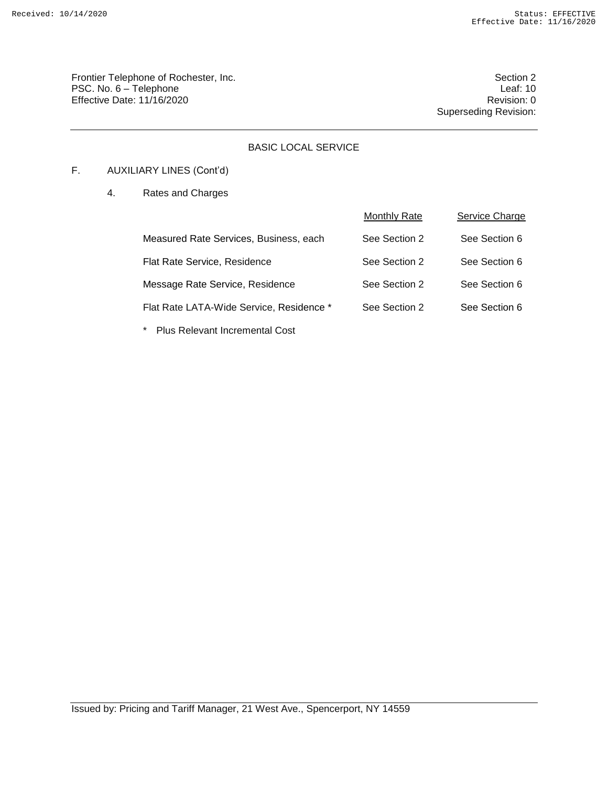Frontier Telephone of Rochester, Inc. Section 2 PSC. No. 6 – Telephone Leaf: 10<br>Effective Date: 11/16/2020 Effective Date:  $11/16/2020$ 

Superseding Revision:

# BASIC LOCAL SERVICE

# F. AUXILIARY LINES (Cont'd)

4. Rates and Charges

|                                          | <b>Monthly Rate</b> | Service Charge |
|------------------------------------------|---------------------|----------------|
| Measured Rate Services, Business, each   | See Section 2       | See Section 6  |
| Flat Rate Service, Residence             | See Section 2       | See Section 6  |
| Message Rate Service, Residence          | See Section 2       | See Section 6  |
| Flat Rate LATA-Wide Service, Residence * | See Section 2       | See Section 6  |
|                                          |                     |                |

\* Plus Relevant Incremental Cost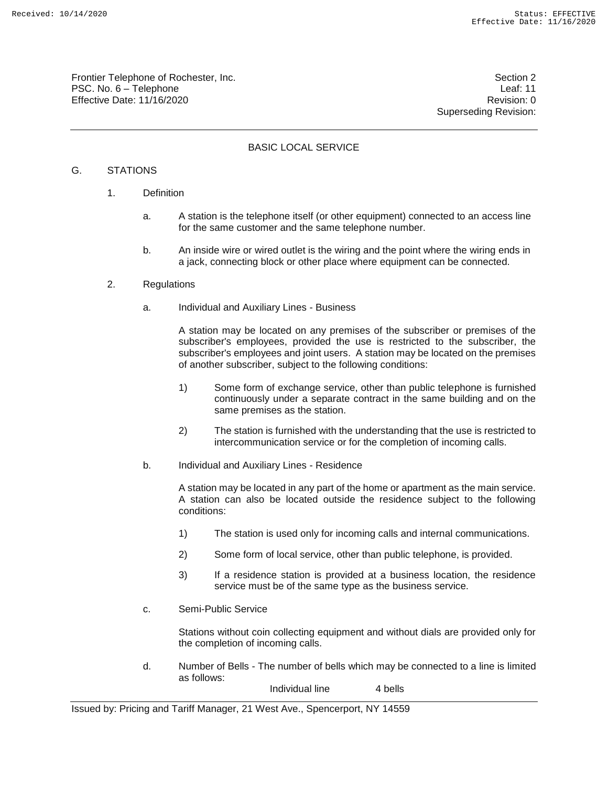Frontier Telephone of Rochester, Inc. Section 2 PSC. No. 6 – Telephone Leaf: 11 Effective Date: 11/16/2020 **Review Accounts** Effective Date: 0

Superseding Revision:

# BASIC LOCAL SERVICE

# G. STATIONS

- 1. Definition
	- a. A station is the telephone itself (or other equipment) connected to an access line for the same customer and the same telephone number.
	- b. An inside wire or wired outlet is the wiring and the point where the wiring ends in a jack, connecting block or other place where equipment can be connected.
- 2. Regulations
	- a. Individual and Auxiliary Lines Business

A station may be located on any premises of the subscriber or premises of the subscriber's employees, provided the use is restricted to the subscriber, the subscriber's employees and joint users. A station may be located on the premises of another subscriber, subject to the following conditions:

- 1) Some form of exchange service, other than public telephone is furnished continuously under a separate contract in the same building and on the same premises as the station.
- 2) The station is furnished with the understanding that the use is restricted to intercommunication service or for the completion of incoming calls.
- b. Individual and Auxiliary Lines Residence

A station may be located in any part of the home or apartment as the main service. A station can also be located outside the residence subject to the following conditions:

- 1) The station is used only for incoming calls and internal communications.
- 2) Some form of local service, other than public telephone, is provided.
- 3) If a residence station is provided at a business location, the residence service must be of the same type as the business service.
- c. Semi-Public Service

Stations without coin collecting equipment and without dials are provided only for the completion of incoming calls.

d. Number of Bells - The number of bells which may be connected to a line is limited as follows:

Individual line 4 bells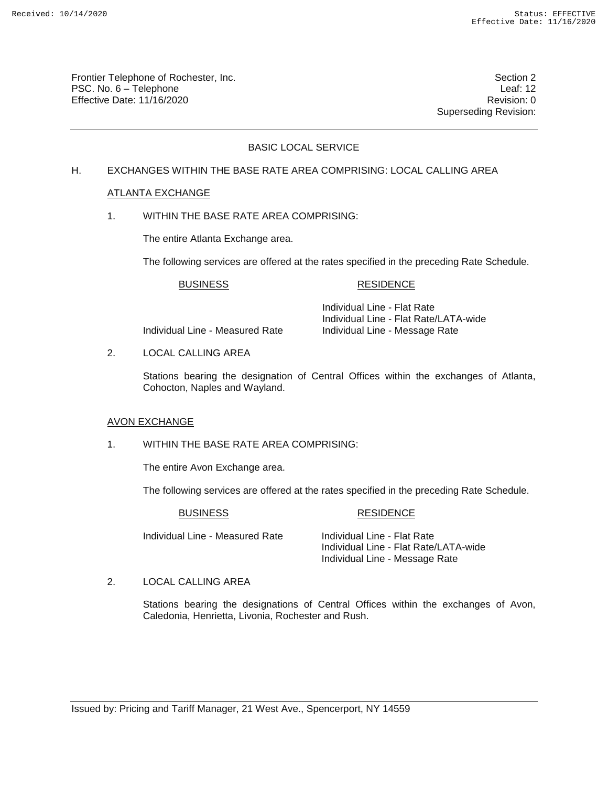Frontier Telephone of Rochester, Inc. Section 2 PSC. No. 6 – Telephone Leaf: 12 Effective Date: 11/16/2020 **Review Accounts** Effective Date: 0

Superseding Revision:

# BASIC LOCAL SERVICE

# H. EXCHANGES WITHIN THE BASE RATE AREA COMPRISING: LOCAL CALLING AREA

## ATLANTA EXCHANGE

1. WITHIN THE BASE RATE AREA COMPRISING:

The entire Atlanta Exchange area.

The following services are offered at the rates specified in the preceding Rate Schedule.

## BUSINESS RESIDENCE

Individual Line - Measured Rate Individual Line - Message Rate

Individual Line - Flat Rate Individual Line - Flat Rate/LATA-wide

2. LOCAL CALLING AREA

Stations bearing the designation of Central Offices within the exchanges of Atlanta, Cohocton, Naples and Wayland.

#### AVON EXCHANGE

1. WITHIN THE BASE RATE AREA COMPRISING:

The entire Avon Exchange area.

The following services are offered at the rates specified in the preceding Rate Schedule.

#### BUSINESS RESIDENCE

Individual Line - Measured Rate Individual Line - Flat Rate

Individual Line - Flat Rate/LATA-wide Individual Line - Message Rate

2. LOCAL CALLING AREA

Stations bearing the designations of Central Offices within the exchanges of Avon, Caledonia, Henrietta, Livonia, Rochester and Rush.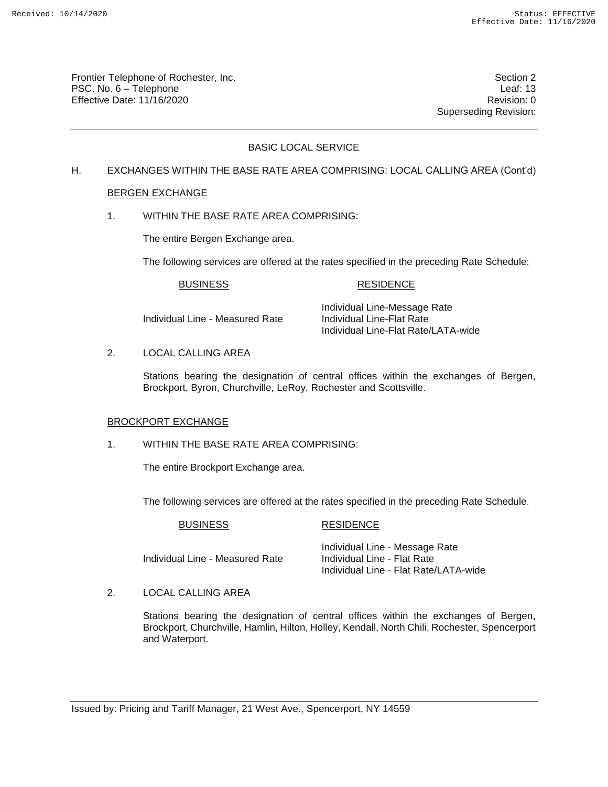Frontier Telephone of Rochester, Inc. Section 2 PSC. No. 6 – Telephone Leaf: 13 Effective Date: 11/16/2020 **Review Accounts** Effective Date: 0

Superseding Revision:

# BASIC LOCAL SERVICE

# H. EXCHANGES WITHIN THE BASE RATE AREA COMPRISING: LOCAL CALLING AREA (Cont'd)

## BERGEN EXCHANGE

1. WITHIN THE BASE RATE AREA COMPRISING:

The entire Bergen Exchange area.

The following services are offered at the rates specified in the preceding Rate Schedule:

### BUSINESS RESIDENCE

Individual Line - Measured Rate Individual Line-Flat Rate

Individual Line-Message Rate Individual Line-Flat Rate/LATA-wide

2. LOCAL CALLING AREA

Stations bearing the designation of central offices within the exchanges of Bergen, Brockport, Byron, Churchville, LeRoy, Rochester and Scottsville.

#### BROCKPORT EXCHANGE

1. WITHIN THE BASE RATE AREA COMPRISING:

The entire Brockport Exchange area.

The following services are offered at the rates specified in the preceding Rate Schedule.

|  | <b>BUSINESS</b> |  |
|--|-----------------|--|
|--|-----------------|--|

#### RESIDENCE

Individual Line - Measured Rate

Individual Line - Message Rate<br>Individual Line - Flat Rate Individual Line - Flat Rate/LATA-wide

2. LOCAL CALLING AREA

Stations bearing the designation of central offices within the exchanges of Bergen, Brockport, Churchville, Hamlin, Hilton, Holley, Kendall, North Chili, Rochester, Spencerport and Waterport.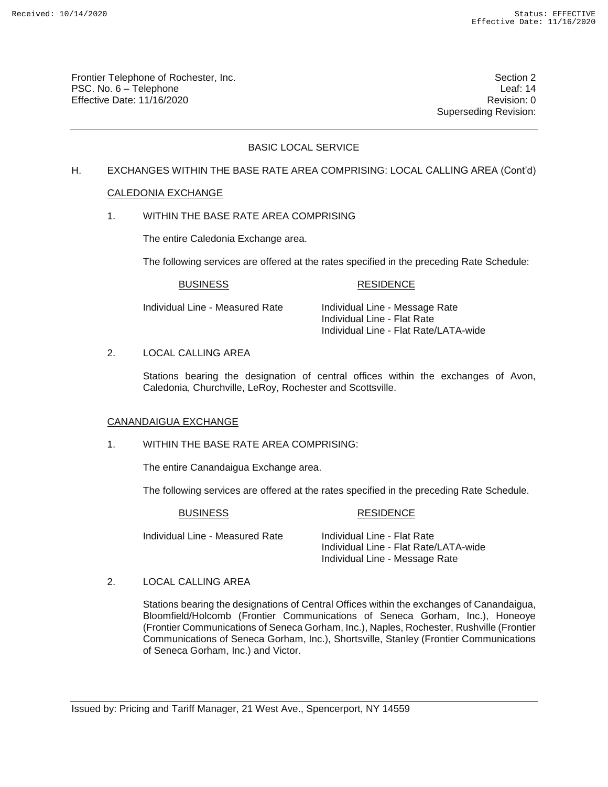Frontier Telephone of Rochester, Inc. Section 2 PSC. No. 6 – Telephone Leaf: 14 Effective Date: 11/16/2020 **Review Accounts** Effective Date: 0

Superseding Revision:

# BASIC LOCAL SERVICE

# H. EXCHANGES WITHIN THE BASE RATE AREA COMPRISING: LOCAL CALLING AREA (Cont'd)

## CALEDONIA EXCHANGE

1. WITHIN THE BASE RATE AREA COMPRISING

The entire Caledonia Exchange area.

The following services are offered at the rates specified in the preceding Rate Schedule:

## BUSINESS RESIDENCE

Individual Line - Measured Rate Individual Line - Message Rate Individual Line - Flat Rate Individual Line - Flat Rate/LATA-wide

## 2. LOCAL CALLING AREA

Stations bearing the designation of central offices within the exchanges of Avon, Caledonia, Churchville, LeRoy, Rochester and Scottsville.

## CANANDAIGUA EXCHANGE

# 1. WITHIN THE BASE RATE AREA COMPRISING:

The entire Canandaigua Exchange area.

The following services are offered at the rates specified in the preceding Rate Schedule.

#### BUSINESS RESIDENCE

Individual Line - Measured Rate Individual Line - Flat Rate

Individual Line - Flat Rate/LATA-wide Individual Line - Message Rate

2. LOCAL CALLING AREA

Stations bearing the designations of Central Offices within the exchanges of Canandaigua, Bloomfield/Holcomb (Frontier Communications of Seneca Gorham, Inc.), Honeoye (Frontier Communications of Seneca Gorham, Inc.), Naples, Rochester, Rushville (Frontier Communications of Seneca Gorham, Inc.), Shortsville, Stanley (Frontier Communications of Seneca Gorham, Inc.) and Victor.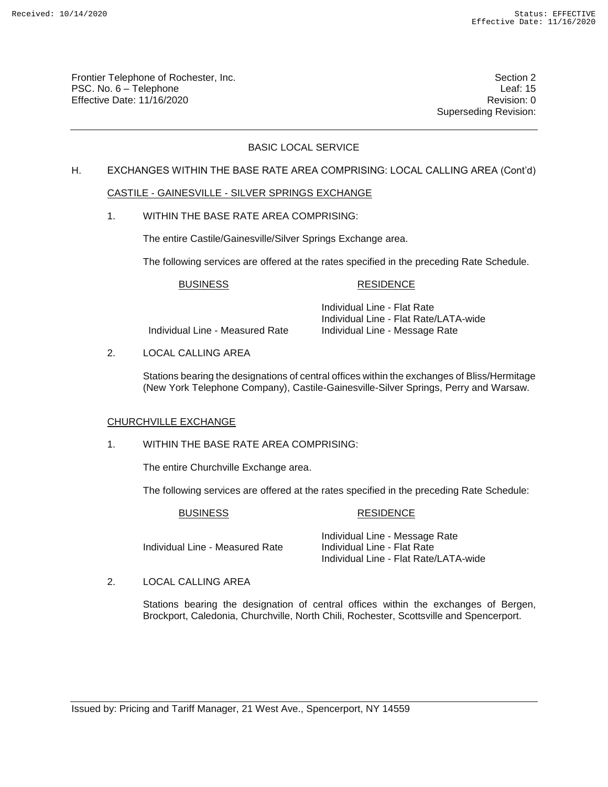Frontier Telephone of Rochester, Inc. Section 2 PSC. No. 6 – Telephone Leaf: 15 Effective Date: 11/16/2020 **Review Accounts** Effective Date: 0

Superseding Revision:

# BASIC LOCAL SERVICE

## H. EXCHANGES WITHIN THE BASE RATE AREA COMPRISING: LOCAL CALLING AREA (Cont'd)

## CASTILE - GAINESVILLE - SILVER SPRINGS EXCHANGE

1. WITHIN THE BASE RATE AREA COMPRISING:

The entire Castile/Gainesville/Silver Springs Exchange area.

The following services are offered at the rates specified in the preceding Rate Schedule.

## BUSINESS RESIDENCE

Individual Line - Measured Rate Individual Line - Message Rate

Individual Line - Flat Rate Individual Line - Flat Rate/LATA-wide

2. LOCAL CALLING AREA

Stations bearing the designations of central offices within the exchanges of Bliss/Hermitage (New York Telephone Company), Castile-Gainesville-Silver Springs, Perry and Warsaw.

## CHURCHVILLE EXCHANGE

1. WITHIN THE BASE RATE AREA COMPRISING:

The entire Churchville Exchange area.

The following services are offered at the rates specified in the preceding Rate Schedule:

#### BUSINESS RESIDENCE

Individual Line - Measured Rate

Individual Line - Message Rate<br>Individual Line - Flat Rate Individual Line - Flat Rate/LATA-wide

# 2. LOCAL CALLING AREA

Stations bearing the designation of central offices within the exchanges of Bergen, Brockport, Caledonia, Churchville, North Chili, Rochester, Scottsville and Spencerport.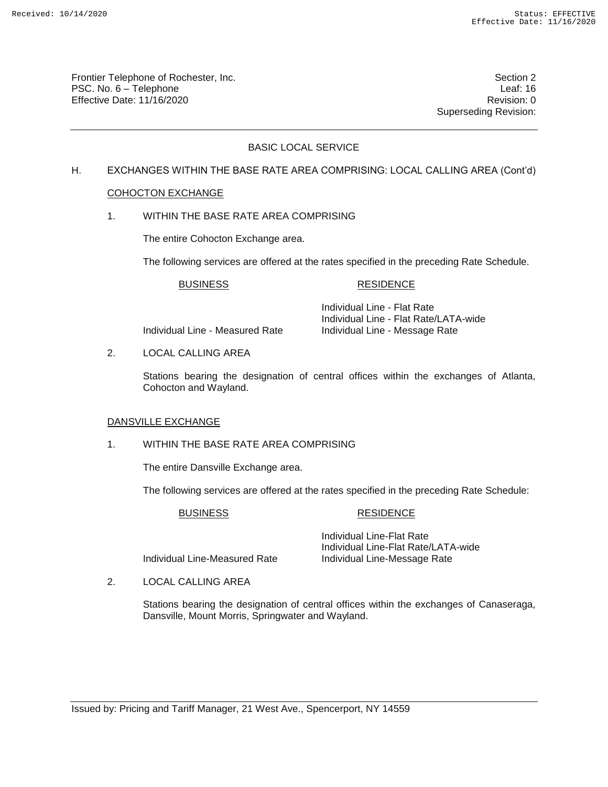Frontier Telephone of Rochester, Inc. Section 2 PSC. No. 6 – Telephone Leaf: 16 Effective Date: 11/16/2020 **Review Account 2018** Revision: 0

Superseding Revision:

# BASIC LOCAL SERVICE

# H. EXCHANGES WITHIN THE BASE RATE AREA COMPRISING: LOCAL CALLING AREA (Cont'd)

## COHOCTON EXCHANGE

1. WITHIN THE BASE RATE AREA COMPRISING

The entire Cohocton Exchange area.

The following services are offered at the rates specified in the preceding Rate Schedule.

## BUSINESS RESIDENCE

Individual Line - Measured Rate Individual Line - Message Rate

Individual Line - Flat Rate Individual Line - Flat Rate/LATA-wide

2. LOCAL CALLING AREA

Stations bearing the designation of central offices within the exchanges of Atlanta, Cohocton and Wayland.

## DANSVILLE EXCHANGE

# 1. WITHIN THE BASE RATE AREA COMPRISING

The entire Dansville Exchange area.

The following services are offered at the rates specified in the preceding Rate Schedule:

#### BUSINESS RESIDENCE

Individual Line-Measured Rate Individual Line-Message Rate

Individual Line-Flat Rate Individual Line-Flat Rate/LATA-wide

2. LOCAL CALLING AREA

Stations bearing the designation of central offices within the exchanges of Canaseraga, Dansville, Mount Morris, Springwater and Wayland.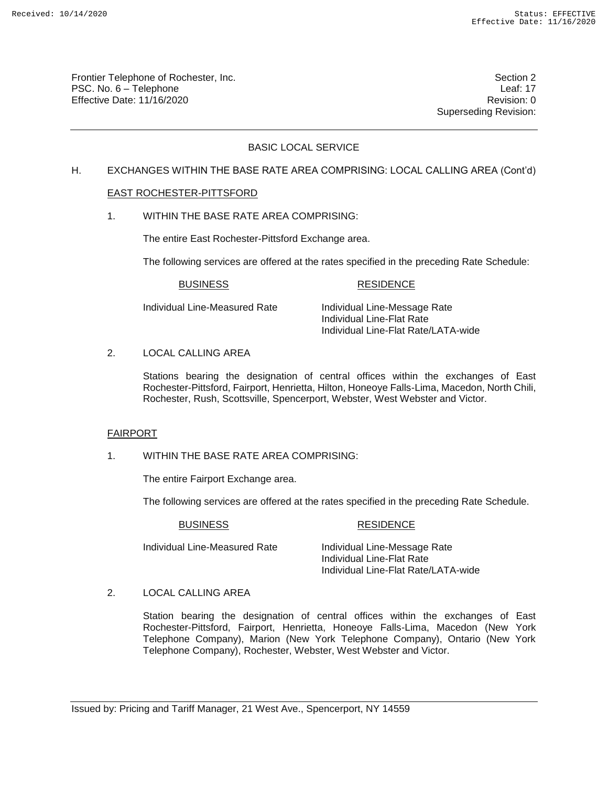Frontier Telephone of Rochester, Inc. Section 2 PSC. No. 6 – Telephone Leaf: 17 Effective Date: 11/16/2020 **Review Accounts** Effective Date: 0

Superseding Revision:

# BASIC LOCAL SERVICE

# H. EXCHANGES WITHIN THE BASE RATE AREA COMPRISING: LOCAL CALLING AREA (Cont'd)

## EAST ROCHESTER-PITTSFORD

1. WITHIN THE BASE RATE AREA COMPRISING:

The entire East Rochester-Pittsford Exchange area.

The following services are offered at the rates specified in the preceding Rate Schedule:

## BUSINESS RESIDENCE

Individual Line-Measured Rate Individual Line-Message Rate Individual Line-Flat Rate Individual Line-Flat Rate/LATA-wide

2. LOCAL CALLING AREA

Stations bearing the designation of central offices within the exchanges of East Rochester-Pittsford, Fairport, Henrietta, Hilton, Honeoye Falls-Lima, Macedon, North Chili, Rochester, Rush, Scottsville, Spencerport, Webster, West Webster and Victor.

## FAIRPORT

1. WITHIN THE BASE RATE AREA COMPRISING:

The entire Fairport Exchange area.

The following services are offered at the rates specified in the preceding Rate Schedule.

## Individual Line-Measured Rate Individual Line-Message Rate

#### BUSINESS RESIDENCE

Individual Line-Flat Rate Individual Line-Flat Rate/LATA-wide

# 2. LOCAL CALLING AREA

Station bearing the designation of central offices within the exchanges of East Rochester-Pittsford, Fairport, Henrietta, Honeoye Falls-Lima, Macedon (New York Telephone Company), Marion (New York Telephone Company), Ontario (New York Telephone Company), Rochester, Webster, West Webster and Victor.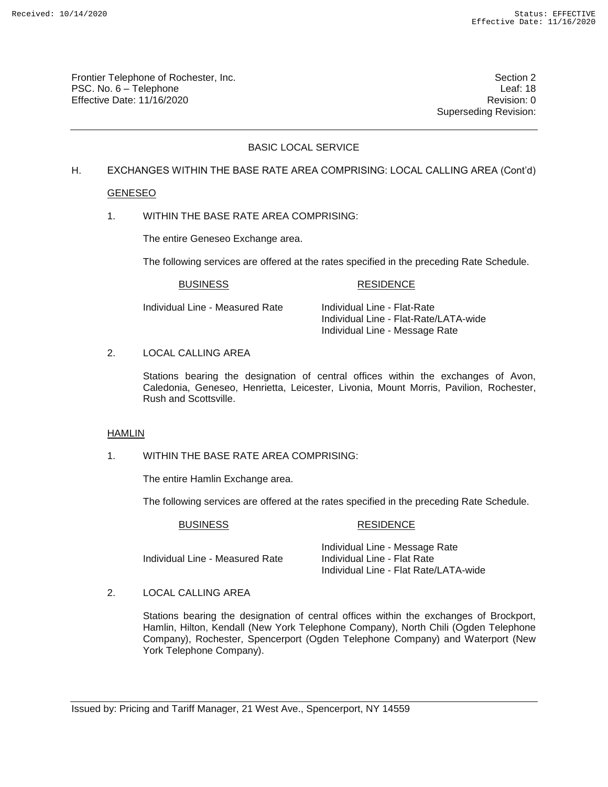Frontier Telephone of Rochester, Inc. Section 2 PSC. No. 6 – Telephone Leaf: 18 Effective Date: 11/16/2020 **Review Accounts** Effective Date: 0

Superseding Revision:

# BASIC LOCAL SERVICE

# H. EXCHANGES WITHIN THE BASE RATE AREA COMPRISING: LOCAL CALLING AREA (Cont'd)

## GENESEO

1. WITHIN THE BASE RATE AREA COMPRISING:

The entire Geneseo Exchange area.

The following services are offered at the rates specified in the preceding Rate Schedule.

## BUSINESS RESIDENCE

Individual Line - Measured Rate Individual Line - Flat-Rate

Individual Line - Flat-Rate/LATA-wide Individual Line - Message Rate

#### 2. LOCAL CALLING AREA

Stations bearing the designation of central offices within the exchanges of Avon, Caledonia, Geneseo, Henrietta, Leicester, Livonia, Mount Morris, Pavilion, Rochester, Rush and Scottsville.

#### HAMLIN

1. WITHIN THE BASE RATE AREA COMPRISING:

The entire Hamlin Exchange area.

The following services are offered at the rates specified in the preceding Rate Schedule.

#### BUSINESS RESIDENCE

Individual Line - Measured Rate

Individual Line - Message Rate<br>Individual Line - Flat Rate Individual Line - Flat Rate/LATA-wide

2. LOCAL CALLING AREA

Stations bearing the designation of central offices within the exchanges of Brockport, Hamlin, Hilton, Kendall (New York Telephone Company), North Chili (Ogden Telephone Company), Rochester, Spencerport (Ogden Telephone Company) and Waterport (New York Telephone Company).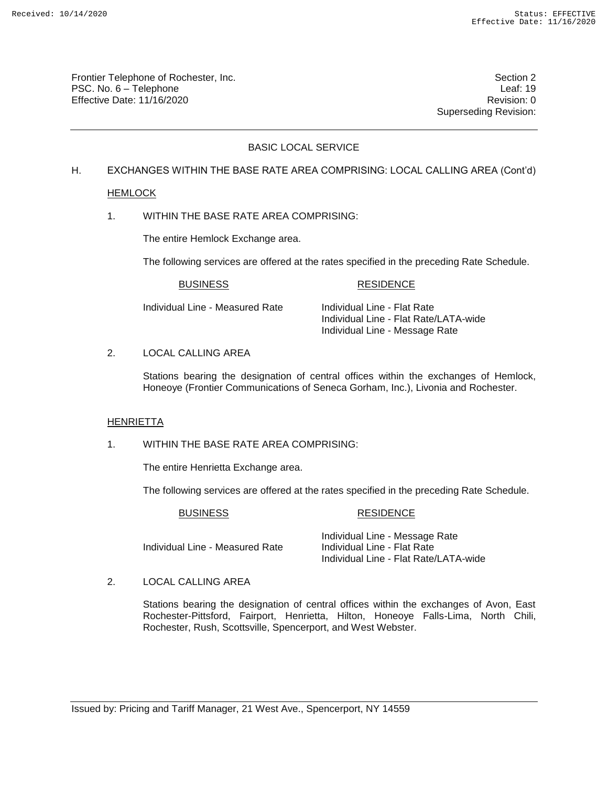Frontier Telephone of Rochester, Inc. Section 2 PSC. No. 6 – Telephone Leaf: 19 Effective Date: 11/16/2020 **Review Accounts** Effective Date: 0

Superseding Revision:

# BASIC LOCAL SERVICE

# H. EXCHANGES WITHIN THE BASE RATE AREA COMPRISING: LOCAL CALLING AREA (Cont'd)

## HEMLOCK

1. WITHIN THE BASE RATE AREA COMPRISING:

The entire Hemlock Exchange area.

The following services are offered at the rates specified in the preceding Rate Schedule.

## BUSINESS RESIDENCE

Individual Line - Measured Rate Individual Line - Flat Rate

Individual Line - Flat Rate/LATA-wide Individual Line - Message Rate

## 2. LOCAL CALLING AREA

Stations bearing the designation of central offices within the exchanges of Hemlock, Honeoye (Frontier Communications of Seneca Gorham, Inc.), Livonia and Rochester.

## HENRIETTA

# 1. WITHIN THE BASE RATE AREA COMPRISING:

The entire Henrietta Exchange area.

The following services are offered at the rates specified in the preceding Rate Schedule.

#### BUSINESS RESIDENCE

Individual Line - Measured Rate

Individual Line - Message Rate<br>Individual Line - Flat Rate Individual Line - Flat Rate/LATA-wide

## 2. LOCAL CALLING AREA

Stations bearing the designation of central offices within the exchanges of Avon, East Rochester-Pittsford, Fairport, Henrietta, Hilton, Honeoye Falls-Lima, North Chili, Rochester, Rush, Scottsville, Spencerport, and West Webster.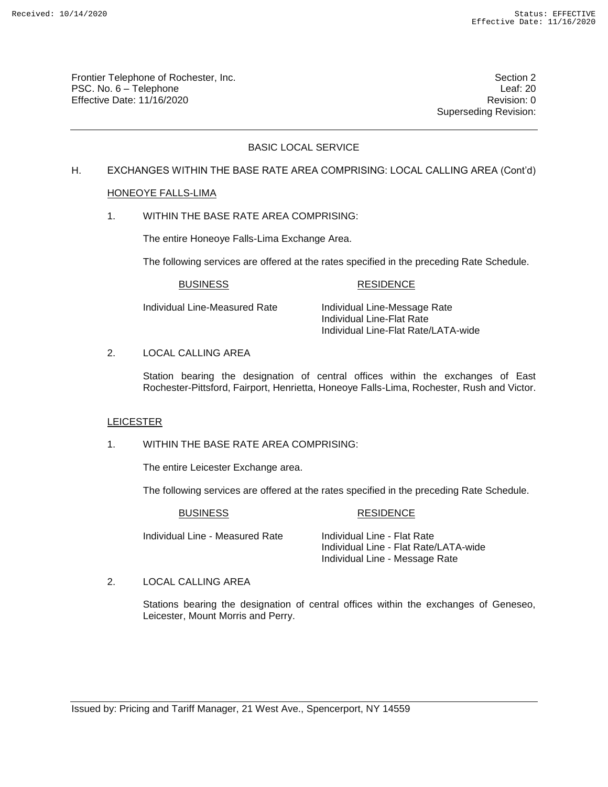Frontier Telephone of Rochester, Inc. Section 2 PSC. No. 6 – Telephone Leaf: 20 Effective Date: 11/16/2020 **Review Accounts** Effective Date: 0

Superseding Revision:

# BASIC LOCAL SERVICE

# H. EXCHANGES WITHIN THE BASE RATE AREA COMPRISING: LOCAL CALLING AREA (Cont'd)

## HONEOYE FALLS-LIMA

1. WITHIN THE BASE RATE AREA COMPRISING:

The entire Honeoye Falls-Lima Exchange Area.

The following services are offered at the rates specified in the preceding Rate Schedule.

## BUSINESS RESIDENCE

Individual Line-Measured Rate Individual Line-Message Rate Individual Line-Flat Rate Individual Line-Flat Rate/LATA-wide

# 2. LOCAL CALLING AREA

Station bearing the designation of central offices within the exchanges of East Rochester-Pittsford, Fairport, Henrietta, Honeoye Falls-Lima, Rochester, Rush and Victor.

## LEICESTER

# 1. WITHIN THE BASE RATE AREA COMPRISING:

The entire Leicester Exchange area.

The following services are offered at the rates specified in the preceding Rate Schedule.

#### BUSINESS RESIDENCE

Individual Line - Measured Rate Individual Line - Flat Rate

Individual Line - Flat Rate/LATA-wide Individual Line - Message Rate

## 2. LOCAL CALLING AREA

Stations bearing the designation of central offices within the exchanges of Geneseo, Leicester, Mount Morris and Perry.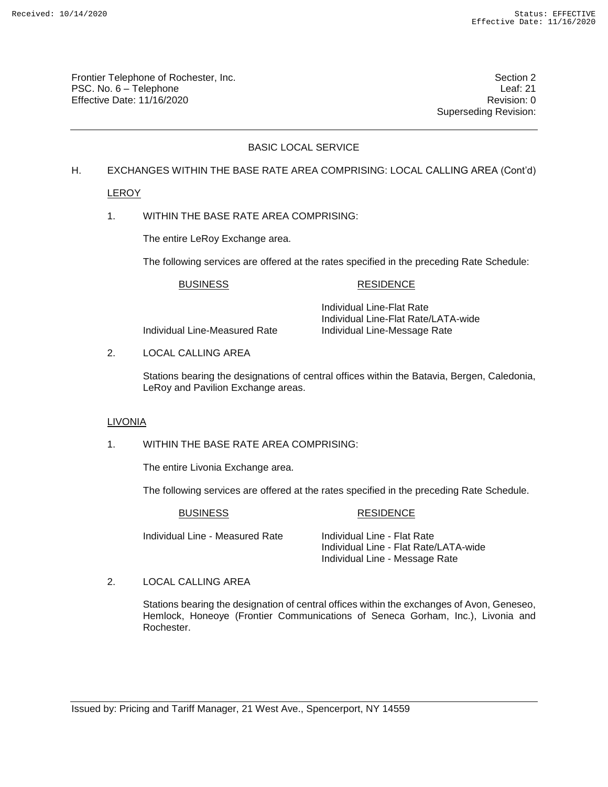Frontier Telephone of Rochester, Inc. Section 2 PSC. No. 6 – Telephone Leaf: 21 Effective Date: 11/16/2020 **Review Accounts** Effective Date: 0

Superseding Revision:

# BASIC LOCAL SERVICE

## H. EXCHANGES WITHIN THE BASE RATE AREA COMPRISING: LOCAL CALLING AREA (Cont'd)

LEROY

1. WITHIN THE BASE RATE AREA COMPRISING:

The entire LeRoy Exchange area.

The following services are offered at the rates specified in the preceding Rate Schedule:

## BUSINESS RESIDENCE

Individual Line-Measured Rate Individual Line-Message Rate

Individual Line-Flat Rate Individual Line-Flat Rate/LATA-wide

2. LOCAL CALLING AREA

Stations bearing the designations of central offices within the Batavia, Bergen, Caledonia, LeRoy and Pavilion Exchange areas.

# LIVONIA

1. WITHIN THE BASE RATE AREA COMPRISING:

The entire Livonia Exchange area.

The following services are offered at the rates specified in the preceding Rate Schedule.

#### BUSINESS RESIDENCE

Individual Line - Measured Rate Individual Line - Flat Rate

Individual Line - Flat Rate/LATA-wide Individual Line - Message Rate

2. LOCAL CALLING AREA

Stations bearing the designation of central offices within the exchanges of Avon, Geneseo, Hemlock, Honeoye (Frontier Communications of Seneca Gorham, Inc.), Livonia and Rochester.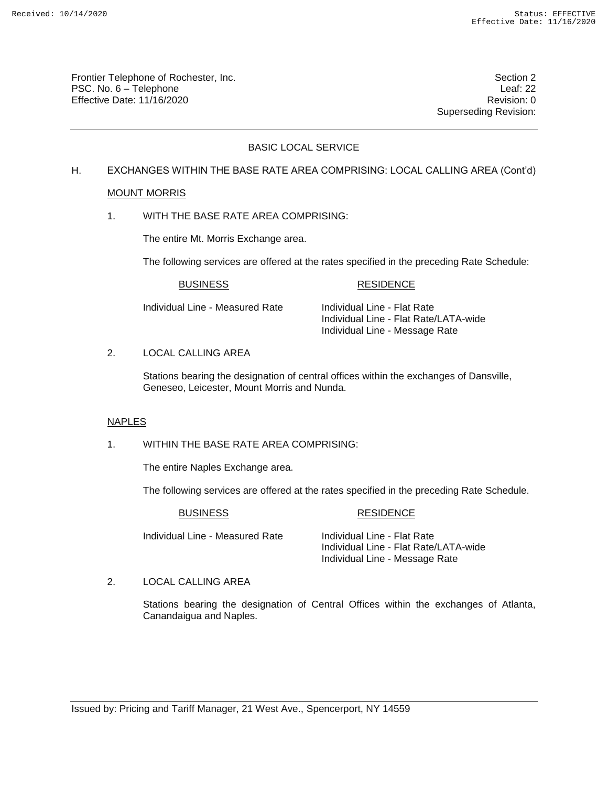Frontier Telephone of Rochester, Inc. Section 2 PSC. No. 6 – Telephone Leaf: 22 Effective Date: 11/16/2020 **Review Accounts** Effective Date: 0

Superseding Revision:

# BASIC LOCAL SERVICE

# H. EXCHANGES WITHIN THE BASE RATE AREA COMPRISING: LOCAL CALLING AREA (Cont'd)

## MOUNT MORRIS

1. WITH THE BASE RATE AREA COMPRISING:

The entire Mt. Morris Exchange area.

The following services are offered at the rates specified in the preceding Rate Schedule:

## BUSINESS RESIDENCE

Individual Line - Measured Rate Individual Line - Flat Rate

Individual Line - Flat Rate/LATA-wide Individual Line - Message Rate

#### 2. LOCAL CALLING AREA

Stations bearing the designation of central offices within the exchanges of Dansville, Geneseo, Leicester, Mount Morris and Nunda.

## NAPLES

## 1. WITHIN THE BASE RATE AREA COMPRISING:

The entire Naples Exchange area.

The following services are offered at the rates specified in the preceding Rate Schedule.

#### BUSINESS RESIDENCE

Individual Line - Measured Rate Individual Line - Flat Rate

Individual Line - Flat Rate/LATA-wide Individual Line - Message Rate

## 2. LOCAL CALLING AREA

Stations bearing the designation of Central Offices within the exchanges of Atlanta, Canandaigua and Naples.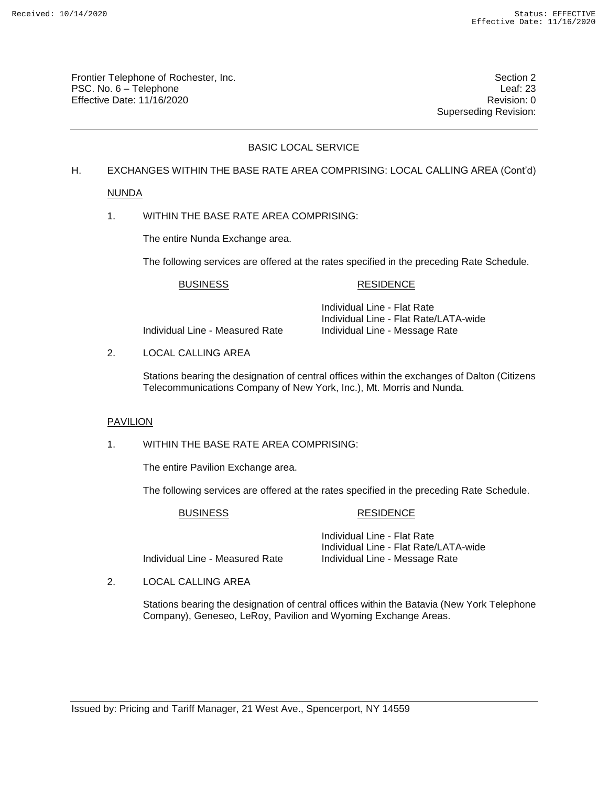Frontier Telephone of Rochester, Inc. Section 2 PSC. No. 6 – Telephone Leaf: 23 Effective Date: 11/16/2020 **Review Accounts** Effective Date: 0

Superseding Revision:

# BASIC LOCAL SERVICE

# H. EXCHANGES WITHIN THE BASE RATE AREA COMPRISING: LOCAL CALLING AREA (Cont'd)

## NUNDA

1. WITHIN THE BASE RATE AREA COMPRISING:

The entire Nunda Exchange area.

The following services are offered at the rates specified in the preceding Rate Schedule.

## BUSINESS RESIDENCE

Individual Line - Measured Rate Individual Line - Message Rate

Individual Line - Flat Rate Individual Line - Flat Rate/LATA-wide

2. LOCAL CALLING AREA

Stations bearing the designation of central offices within the exchanges of Dalton (Citizens Telecommunications Company of New York, Inc.), Mt. Morris and Nunda.

## PAVILION

## 1. WITHIN THE BASE RATE AREA COMPRISING:

The entire Pavilion Exchange area.

The following services are offered at the rates specified in the preceding Rate Schedule.

## BUSINESS RESIDENCE

Individual Line - Measured Rate Individual Line - Message Rate

Individual Line - Flat Rate Individual Line - Flat Rate/LATA-wide

2. LOCAL CALLING AREA

Stations bearing the designation of central offices within the Batavia (New York Telephone Company), Geneseo, LeRoy, Pavilion and Wyoming Exchange Areas.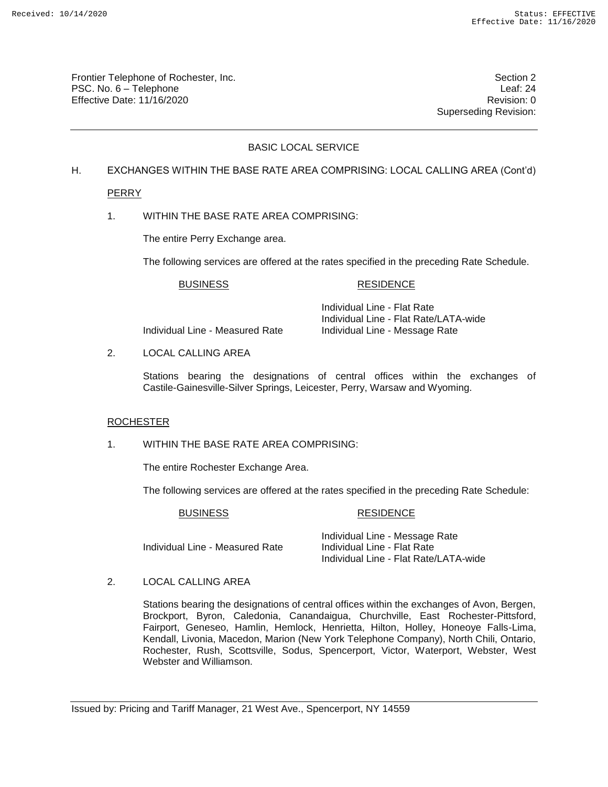Frontier Telephone of Rochester, Inc. Section 2 PSC. No. 6 – Telephone Leaf: 24 Effective Date: 11/16/2020 **Review Accounts** Effective Date: 0

Superseding Revision:

# BASIC LOCAL SERVICE

# H. EXCHANGES WITHIN THE BASE RATE AREA COMPRISING: LOCAL CALLING AREA (Cont'd)

PERRY

1. WITHIN THE BASE RATE AREA COMPRISING:

The entire Perry Exchange area.

The following services are offered at the rates specified in the preceding Rate Schedule.

## BUSINESS RESIDENCE

Individual Line - Measured Rate Individual Line - Message Rate

Individual Line - Flat Rate Individual Line - Flat Rate/LATA-wide

2. LOCAL CALLING AREA

Stations bearing the designations of central offices within the exchanges of Castile-Gainesville-Silver Springs, Leicester, Perry, Warsaw and Wyoming.

## ROCHESTER

## 1. WITHIN THE BASE RATE AREA COMPRISING:

The entire Rochester Exchange Area.

The following services are offered at the rates specified in the preceding Rate Schedule:

## BUSINESS RESIDENCE

Individual Line - Measured Rate

Individual Line - Message Rate<br>Individual Line - Flat Rate Individual Line - Flat Rate/LATA-wide

2. LOCAL CALLING AREA

Stations bearing the designations of central offices within the exchanges of Avon, Bergen, Brockport, Byron, Caledonia, Canandaigua, Churchville, East Rochester-Pittsford, Fairport, Geneseo, Hamlin, Hemlock, Henrietta, Hilton, Holley, Honeoye Falls-Lima, Kendall, Livonia, Macedon, Marion (New York Telephone Company), North Chili, Ontario, Rochester, Rush, Scottsville, Sodus, Spencerport, Victor, Waterport, Webster, West Webster and Williamson.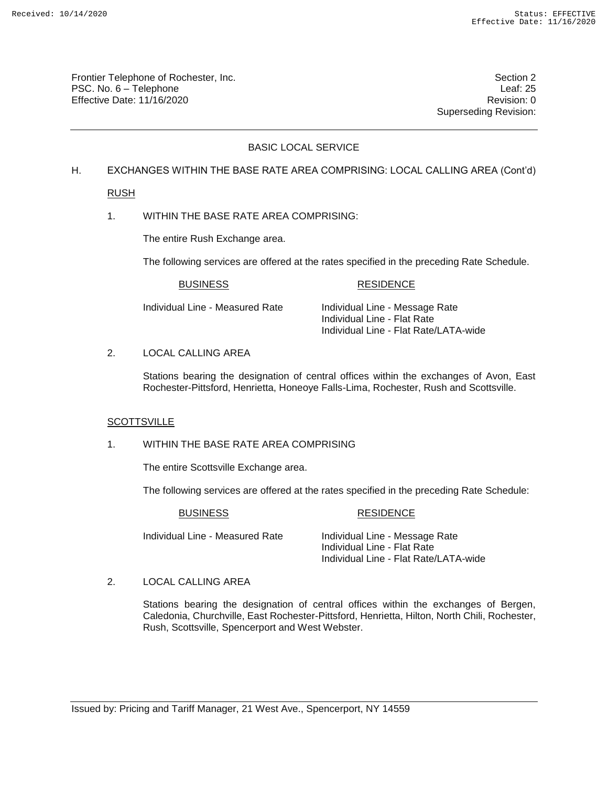Frontier Telephone of Rochester, Inc. Section 2 PSC. No. 6 – Telephone Leaf: 25 Effective Date: 11/16/2020 **Review Accounts** Effective Date: 0

Superseding Revision:

# BASIC LOCAL SERVICE

## H. EXCHANGES WITHIN THE BASE RATE AREA COMPRISING: LOCAL CALLING AREA (Cont'd)

RUSH

1. WITHIN THE BASE RATE AREA COMPRISING:

The entire Rush Exchange area.

The following services are offered at the rates specified in the preceding Rate Schedule.

## BUSINESS RESIDENCE

Individual Line - Measured Rate Individual Line - Message Rate Individual Line - Flat Rate Individual Line - Flat Rate/LATA-wide

## 2. LOCAL CALLING AREA

Stations bearing the designation of central offices within the exchanges of Avon, East Rochester-Pittsford, Henrietta, Honeoye Falls-Lima, Rochester, Rush and Scottsville.

## **SCOTTSVILLE**

# 1. WITHIN THE BASE RATE AREA COMPRISING

The entire Scottsville Exchange area.

The following services are offered at the rates specified in the preceding Rate Schedule:

## BUSINESS RESIDENCE

Individual Line - Measured Rate Individual Line - Message Rate

Individual Line - Flat Rate Individual Line - Flat Rate/LATA-wide

2. LOCAL CALLING AREA

Stations bearing the designation of central offices within the exchanges of Bergen, Caledonia, Churchville, East Rochester-Pittsford, Henrietta, Hilton, North Chili, Rochester, Rush, Scottsville, Spencerport and West Webster.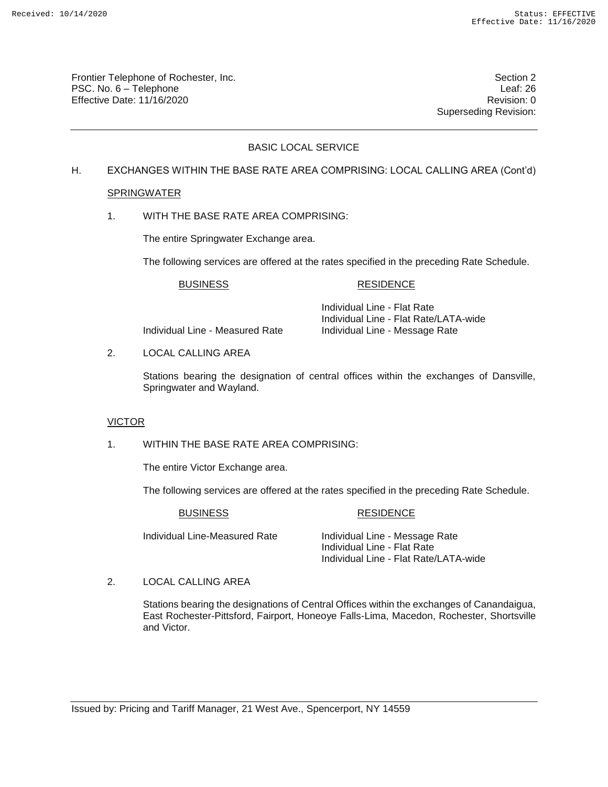Frontier Telephone of Rochester, Inc. Section 2 PSC. No. 6 – Telephone Leaf: 26 Effective Date: 11/16/2020 **Review Accounts** Effective Date: 0

Superseding Revision:

# BASIC LOCAL SERVICE

# H. EXCHANGES WITHIN THE BASE RATE AREA COMPRISING: LOCAL CALLING AREA (Cont'd)

## SPRINGWATER

1. WITH THE BASE RATE AREA COMPRISING:

The entire Springwater Exchange area.

The following services are offered at the rates specified in the preceding Rate Schedule.

#### BUSINESS RESIDENCE

Individual Line - Measured Rate Individual Line - Message Rate

Individual Line - Flat Rate Individual Line - Flat Rate/LATA-wide

2. LOCAL CALLING AREA

Stations bearing the designation of central offices within the exchanges of Dansville, Springwater and Wayland.

# VICTOR

1. WITHIN THE BASE RATE AREA COMPRISING:

The entire Victor Exchange area.

The following services are offered at the rates specified in the preceding Rate Schedule.

BUSINESS RESIDENCE

Individual Line-Measured Rate Individual Line - Message Rate

Individual Line - Flat Rate Individual Line - Flat Rate/LATA-wide

2. LOCAL CALLING AREA

Stations bearing the designations of Central Offices within the exchanges of Canandaigua, East Rochester-Pittsford, Fairport, Honeoye Falls-Lima, Macedon, Rochester, Shortsville and Victor.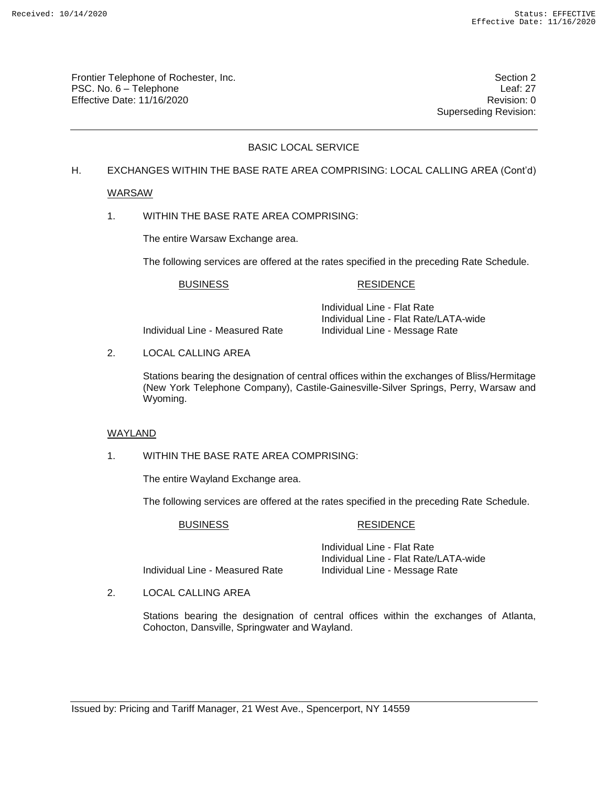Frontier Telephone of Rochester, Inc. Section 2 PSC. No. 6 – Telephone Leaf: 27 Effective Date: 11/16/2020 Revision: 0

Superseding Revision:

# BASIC LOCAL SERVICE

## H. EXCHANGES WITHIN THE BASE RATE AREA COMPRISING: LOCAL CALLING AREA (Cont'd)

## WARSAW

1. WITHIN THE BASE RATE AREA COMPRISING:

The entire Warsaw Exchange area.

The following services are offered at the rates specified in the preceding Rate Schedule.

## BUSINESS RESIDENCE

Individual Line - Measured Rate Individual Line - Message Rate

Individual Line - Flat Rate Individual Line - Flat Rate/LATA-wide

2. LOCAL CALLING AREA

Stations bearing the designation of central offices within the exchanges of Bliss/Hermitage (New York Telephone Company), Castile-Gainesville-Silver Springs, Perry, Warsaw and Wyoming.

## WAYLAND

1. WITHIN THE BASE RATE AREA COMPRISING:

The entire Wayland Exchange area.

The following services are offered at the rates specified in the preceding Rate Schedule.

## BUSINESS RESIDENCE

Individual Line - Flat Rate Individual Line - Flat Rate/LATA-wide Individual Line - Measured Rate Individual Line - Message Rate

2. LOCAL CALLING AREA

Stations bearing the designation of central offices within the exchanges of Atlanta, Cohocton, Dansville, Springwater and Wayland.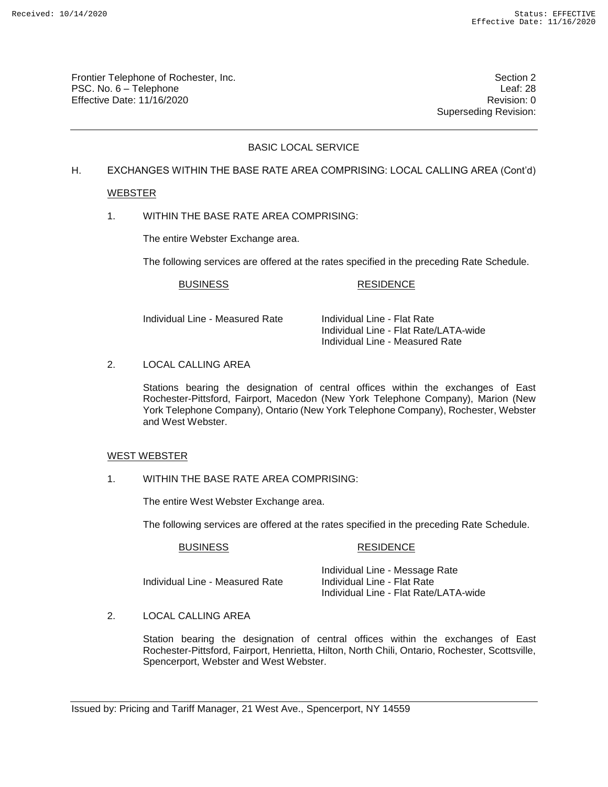Frontier Telephone of Rochester, Inc. Section 2 PSC. No. 6 – Telephone Leaf: 28 Effective Date: 11/16/2020 **Review Accounts** Effective Date: 0

Superseding Revision:

# BASIC LOCAL SERVICE

## H. EXCHANGES WITHIN THE BASE RATE AREA COMPRISING: LOCAL CALLING AREA (Cont'd)

## WEBSTER

1. WITHIN THE BASE RATE AREA COMPRISING:

The entire Webster Exchange area.

The following services are offered at the rates specified in the preceding Rate Schedule.

#### BUSINESS RESIDENCE

Individual Line - Measured Rate Individual Line - Flat Rate

Individual Line - Flat Rate/LATA-wide Individual Line - Measured Rate

2. LOCAL CALLING AREA

Stations bearing the designation of central offices within the exchanges of East Rochester-Pittsford, Fairport, Macedon (New York Telephone Company), Marion (New York Telephone Company), Ontario (New York Telephone Company), Rochester, Webster and West Webster.

#### WEST WEBSTER

1. WITHIN THE BASE RATE AREA COMPRISING:

The entire West Webster Exchange area.

The following services are offered at the rates specified in the preceding Rate Schedule.

## BUSINESS RESIDENCE

Individual Line - Measured Rate

Individual Line - Message Rate<br>Individual Line - Flat Rate Individual Line - Flat Rate/LATA-wide

2. LOCAL CALLING AREA

Station bearing the designation of central offices within the exchanges of East Rochester-Pittsford, Fairport, Henrietta, Hilton, North Chili, Ontario, Rochester, Scottsville, Spencerport, Webster and West Webster.